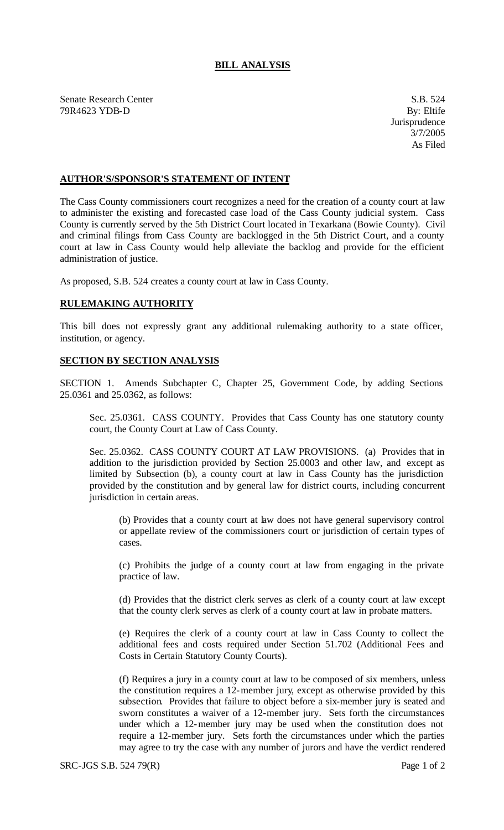## **BILL ANALYSIS**

Senate Research Center S.B. 524 79R4623 YDB-D By: Eltife

## **AUTHOR'S/SPONSOR'S STATEMENT OF INTENT**

The Cass County commissioners court recognizes a need for the creation of a county court at law to administer the existing and forecasted case load of the Cass County judicial system. Cass County is currently served by the 5th District Court located in Texarkana (Bowie County). Civil and criminal filings from Cass County are backlogged in the 5th District Court, and a county court at law in Cass County would help alleviate the backlog and provide for the efficient administration of justice.

As proposed, S.B. 524 creates a county court at law in Cass County.

## **RULEMAKING AUTHORITY**

This bill does not expressly grant any additional rulemaking authority to a state officer, institution, or agency.

## **SECTION BY SECTION ANALYSIS**

SECTION 1. Amends Subchapter C, Chapter 25, Government Code, by adding Sections 25.0361 and 25.0362, as follows:

Sec. 25.0361. CASS COUNTY. Provides that Cass County has one statutory county court, the County Court at Law of Cass County.

Sec. 25.0362. CASS COUNTY COURT AT LAW PROVISIONS. (a) Provides that in addition to the jurisdiction provided by Section 25.0003 and other law, and except as limited by Subsection (b), a county court at law in Cass County has the jurisdiction provided by the constitution and by general law for district courts, including concurrent jurisdiction in certain areas.

(b) Provides that a county court at law does not have general supervisory control or appellate review of the commissioners court or jurisdiction of certain types of cases.

(c) Prohibits the judge of a county court at law from engaging in the private practice of law.

(d) Provides that the district clerk serves as clerk of a county court at law except that the county clerk serves as clerk of a county court at law in probate matters.

(e) Requires the clerk of a county court at law in Cass County to collect the additional fees and costs required under Section 51.702 (Additional Fees and Costs in Certain Statutory County Courts).

(f) Requires a jury in a county court at law to be composed of six members, unless the constitution requires a 12-member jury, except as otherwise provided by this subsection. Provides that failure to object before a six-member jury is seated and sworn constitutes a waiver of a 12-member jury. Sets forth the circumstances under which a 12-member jury may be used when the constitution does not require a 12-member jury. Sets forth the circumstances under which the parties may agree to try the case with any number of jurors and have the verdict rendered